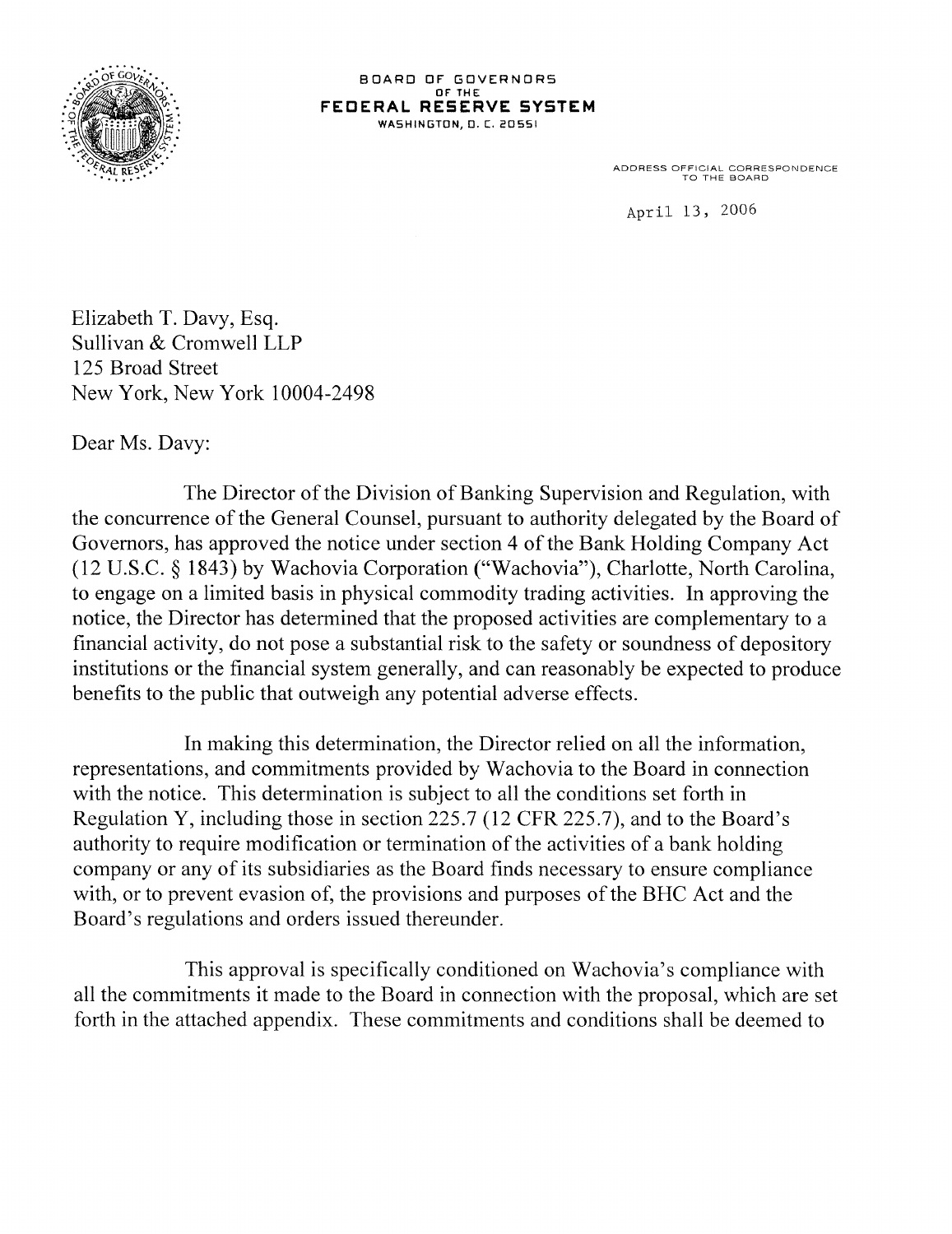

BOARD OF GOVERNORS FEDERAL RESERVE SYSTEM WASHINGTON, 0. C. 20551

ADDRESS OFFICIAL CORRESPONDENCE TO THE BOARD

April 13, 2006

Elizabeth T. Davy, Esq. Sullivan & Cromwell LLP 125 Broad Street New York, New York 10004-2498

Dear Ms. Davy:

The Director of the Division of Banking Supervision and Regulation, with the concurrence of the General Counsel, pursuant to authority delegated by the Board of Governors, has approved the notice under section 4 of the Bank Holding Company Act (12 U.S.C. § 1843) by Wachovia Corporation ("Wachovia"), Charlotte, North Carolina, to engage on a limited basis in physical commodity trading activities. In approving the notice, the Director has determined that the proposed activities are complementary to a financial activity, do not pose a substantial risk to the safety or soundness of depository institutions or the financial system generally, and can reasonably be expected to produce benefits to the public that outweigh any potential adverse effects.

In making this determination, the Director relied on all the information, representations, and commitments provided by Wachovia to the Board in connection with the notice. This determination is subject to all the conditions set forth in Regulation Y, including those in section 225.7 (12 CFR 225.7), and to the Board's authority to require modification or termination of the activities of a bank holding company or any of its subsidiaries as the Board finds necessary to ensure compliance with, or to prevent evasion of, the provisions and purposes of the BHC Act and the Board's regulations and orders issued thereunder.

This approval is specifically conditioned on Wachovia's compliance with all the commitments it made to the Board in connection with the proposal, which are set forth in the attached appendix. These commitments and conditions shall be deemed to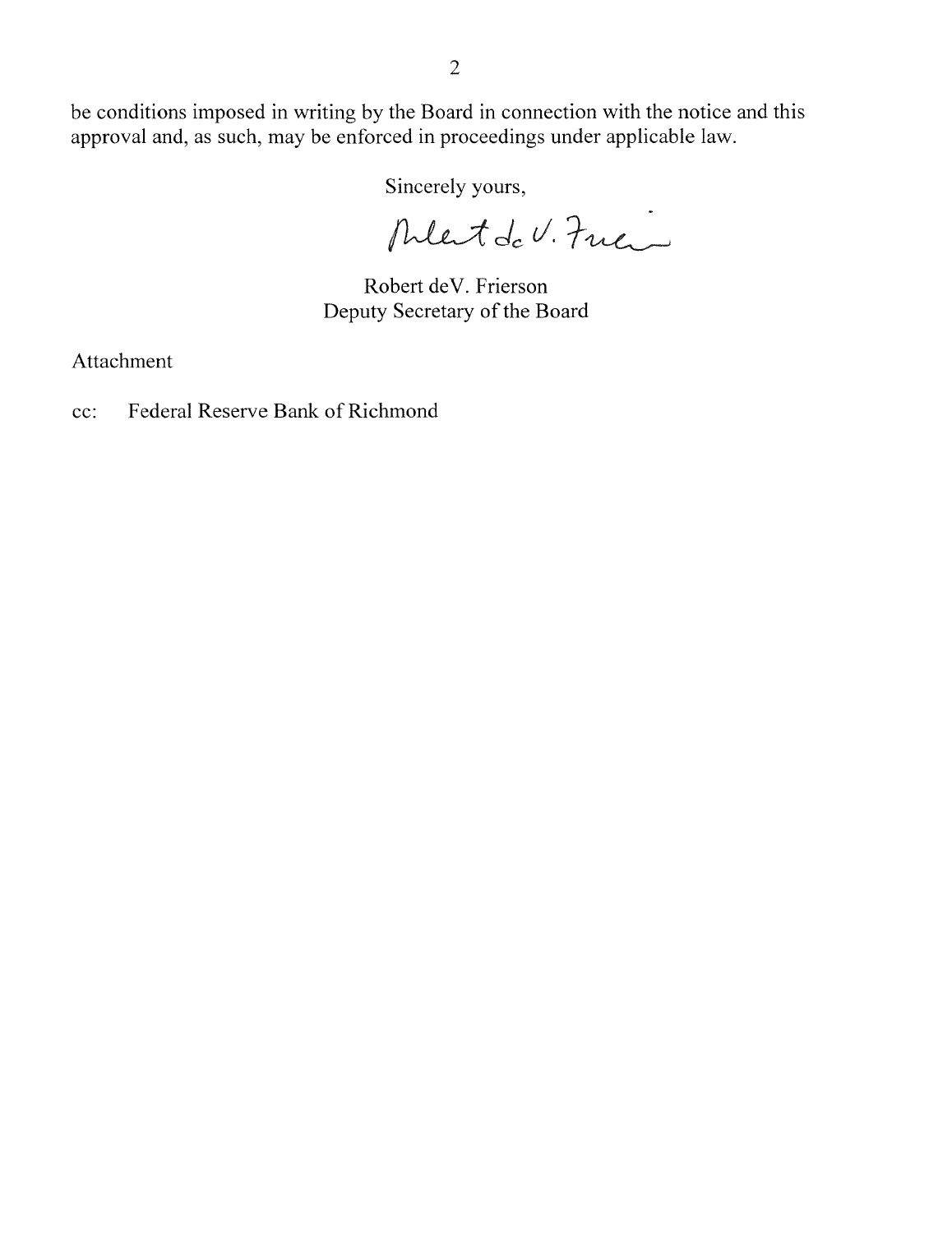be conditions imposed in writing by the Board in connection with the notice and this approval and, as such, may be enforced in proceedings under applicable law.

Sincerely yours,

Ment de V. Fuen

Robert deV. Frierson Deputy Secretary of the Board

Attachment

cc: Federal Reserve Bank of Richmond